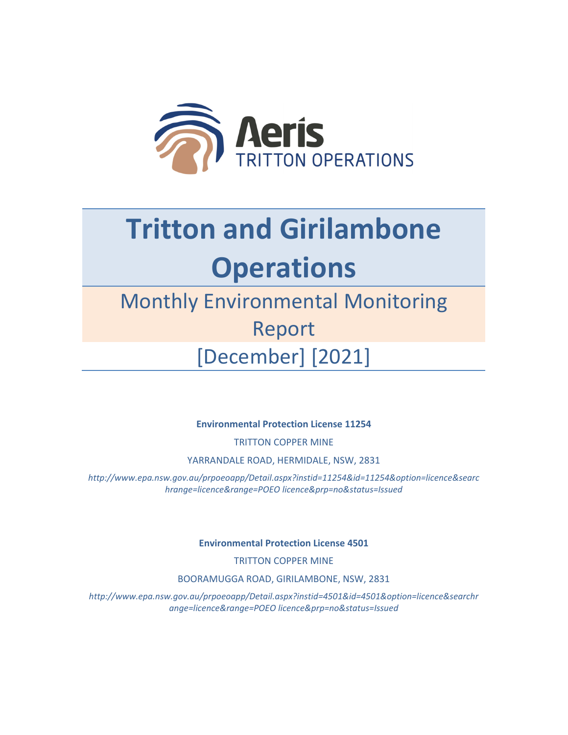

## **Tritton and Girilambone Operations**

## Monthly Environmental Monitoring Report [December] [2021]

**Environmental Protection License 11254**

TRITTON COPPER MINE

YARRANDALE ROAD, HERMIDALE, NSW, 2831

*http://www.epa.nsw.gov.au/prpoeoapp/Detail.aspx?instid=11254&id=11254&option=licence&searc hrange=licence&range=POEO licence&prp=no&status=Issued*

**Environmental Protection License 4501**

TRITTON COPPER MINE

BOORAMUGGA ROAD, GIRILAMBONE, NSW, 2831

*http://www.epa.nsw.gov.au/prpoeoapp/Detail.aspx?instid=4501&id=4501&option=licence&searchr ange=licence&range=POEO licence&prp=no&status=Issued*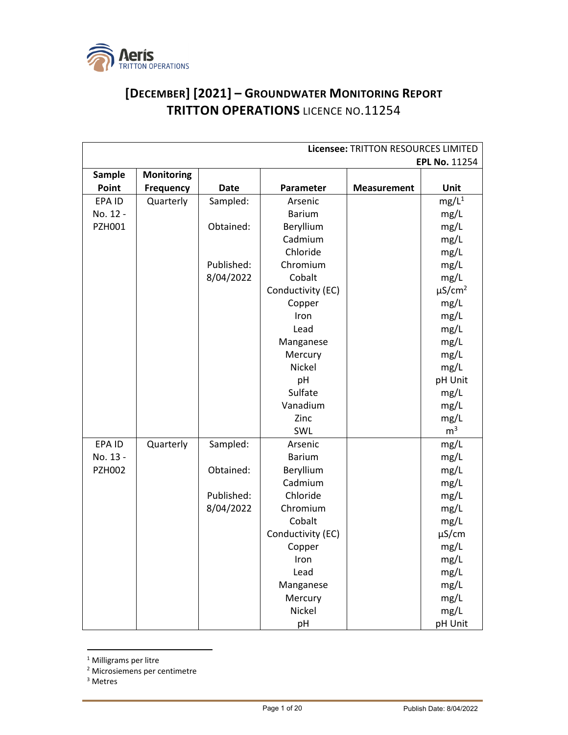

## **[DECEMBER] [2021] – GROUNDWATER MONITORING REPORT TRITTON OPERATIONS** LICENCE NO.11254

| Licensee: TRITTON RESOURCES LIMITED |                   |             |                   |                    |                         |
|-------------------------------------|-------------------|-------------|-------------------|--------------------|-------------------------|
|                                     |                   |             |                   |                    | <b>EPL No. 11254</b>    |
| Sample                              | <b>Monitoring</b> |             |                   |                    |                         |
| Point                               | <b>Frequency</b>  | <b>Date</b> | Parameter         | <b>Measurement</b> | Unit                    |
| EPA ID                              | Quarterly         | Sampled:    | Arsenic           |                    | $mg/L^1$                |
| No. 12 -                            |                   |             | <b>Barium</b>     |                    | mg/L                    |
| <b>PZH001</b>                       |                   | Obtained:   | Beryllium         |                    | mg/L                    |
|                                     |                   |             | Cadmium           |                    | mg/L                    |
|                                     |                   |             | Chloride          |                    | mg/L                    |
|                                     |                   | Published:  | Chromium          |                    | mg/L                    |
|                                     |                   | 8/04/2022   | Cobalt            |                    | mg/L                    |
|                                     |                   |             | Conductivity (EC) |                    | $\mu$ S/cm <sup>2</sup> |
|                                     |                   |             | Copper            |                    | mg/L                    |
|                                     |                   |             | Iron              |                    | mg/L                    |
|                                     |                   |             | Lead              |                    | mg/L                    |
|                                     |                   |             | Manganese         |                    | mg/L                    |
|                                     |                   |             | Mercury           |                    | mg/L                    |
|                                     |                   |             | Nickel            |                    | mg/L                    |
|                                     |                   |             | pH                |                    | pH Unit                 |
|                                     |                   |             | Sulfate           |                    | mg/L                    |
|                                     |                   |             | Vanadium          |                    | mg/L                    |
|                                     |                   |             | Zinc              |                    | mg/L                    |
|                                     |                   |             | SWL               |                    | m <sup>3</sup>          |
| EPA ID                              | Quarterly         | Sampled:    | Arsenic           |                    | mg/L                    |
| No. 13 -                            |                   |             | <b>Barium</b>     |                    | mg/L                    |
| <b>PZH002</b>                       |                   | Obtained:   | Beryllium         |                    | mg/L                    |
|                                     |                   |             | Cadmium           |                    | mg/L                    |
|                                     |                   | Published:  | Chloride          |                    | mg/L                    |
|                                     |                   | 8/04/2022   | Chromium          |                    | mg/L                    |
|                                     |                   |             | Cobalt            |                    | mg/L                    |
|                                     |                   |             | Conductivity (EC) |                    | $\mu$ S/cm              |
|                                     |                   |             | Copper            |                    | mg/L                    |
|                                     |                   |             | Iron              |                    | mg/L                    |
|                                     |                   |             | Lead              |                    | mg/L                    |
|                                     |                   |             | Manganese         |                    | mg/L                    |
|                                     |                   |             | Mercury           |                    | mg/L                    |
|                                     |                   |             | Nickel            |                    | mg/L                    |
|                                     |                   |             | pH                |                    | pH Unit                 |

<sup>1</sup> Milligrams per litre

<sup>3</sup> Metres

<sup>2</sup> Microsiemens per centimetre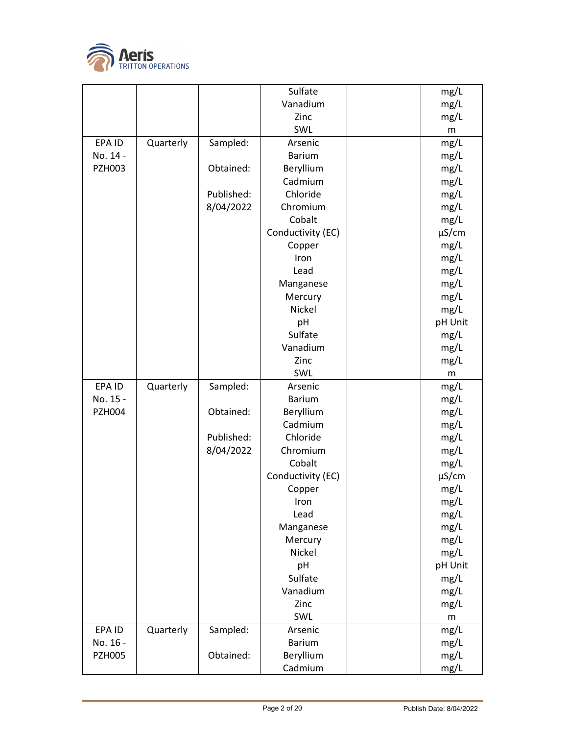

|               |           |            | Sulfate              | mg/L         |
|---------------|-----------|------------|----------------------|--------------|
|               |           |            | Vanadium             | mg/L         |
|               |           |            | Zinc                 | mg/L         |
|               |           |            | SWL                  | ${\sf m}$    |
| EPA ID        | Quarterly | Sampled:   | Arsenic              | mg/L         |
| No. 14 -      |           |            | <b>Barium</b>        | mg/L         |
| <b>PZH003</b> |           | Obtained:  | Beryllium            | mg/L         |
|               |           |            | Cadmium              | mg/L         |
|               |           | Published: | Chloride             | mg/L         |
|               |           | 8/04/2022  | Chromium             | mg/L         |
|               |           |            | Cobalt               | mg/L         |
|               |           |            | Conductivity (EC)    | $\mu$ S/cm   |
|               |           |            | Copper               | mg/L         |
|               |           |            | Iron                 | mg/L         |
|               |           |            | Lead                 | mg/L         |
|               |           |            | Manganese            | mg/L         |
|               |           |            | Mercury              | mg/L         |
|               |           |            | Nickel               | mg/L         |
|               |           |            | pH                   | pH Unit      |
|               |           |            | Sulfate              | mg/L         |
|               |           |            | Vanadium             | mg/L         |
|               |           |            | Zinc                 | mg/L         |
|               |           |            | SWL                  | m            |
|               | Quarterly | Sampled:   | Arsenic              | mg/L         |
| EPA ID        |           |            |                      |              |
| No. 15 -      |           |            | <b>Barium</b>        | mg/L         |
| <b>PZH004</b> |           | Obtained:  | Beryllium            | mg/L         |
|               |           |            | Cadmium              | mg/L         |
|               |           | Published: | Chloride             | mg/L         |
|               |           | 8/04/2022  | Chromium             | mg/L         |
|               |           |            | Cobalt               | mg/L         |
|               |           |            | Conductivity (EC)    | $\mu$ S/cm   |
|               |           |            | Copper               | mg/L         |
|               |           |            | Iron                 | mg/L         |
|               |           |            | Lead                 | mg/L         |
|               |           |            | Manganese            | mg/L         |
|               |           |            | Mercury              | mg/L         |
|               |           |            | Nickel               | mg/L         |
|               |           |            | pH                   | pH Unit      |
|               |           |            | Sulfate              | mg/L         |
|               |           |            | Vanadium             | mg/L         |
|               |           |            | Zinc                 | mg/L         |
|               |           |            | SWL                  | m            |
| EPA ID        | Quarterly | Sampled:   | Arsenic              | mg/L         |
| No. 16 -      |           |            | <b>Barium</b>        | mg/L         |
| <b>PZH005</b> |           | Obtained:  | Beryllium<br>Cadmium | mg/L<br>mg/L |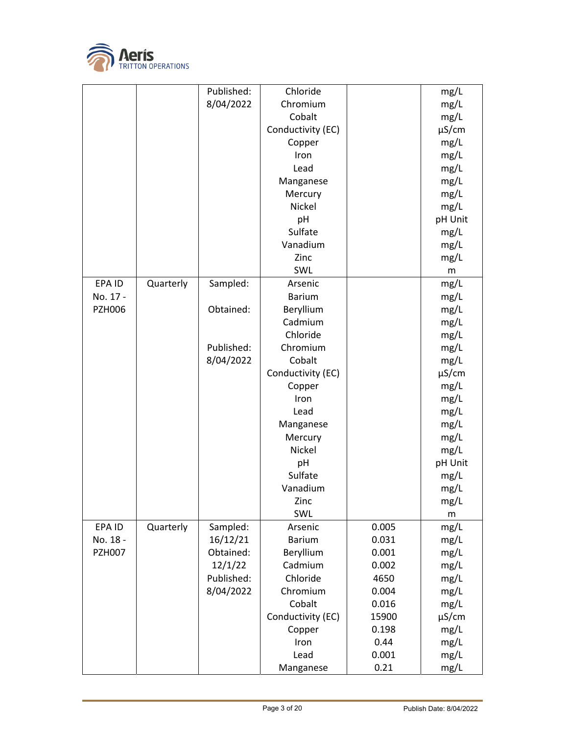

|               |           | Published: | Chloride          |       | mg/L               |
|---------------|-----------|------------|-------------------|-------|--------------------|
|               |           | 8/04/2022  | Chromium          |       | mg/L               |
|               |           |            | Cobalt            |       | mg/L               |
|               |           |            | Conductivity (EC) |       | $\mu$ S/cm         |
|               |           |            | Copper            |       | mg/L               |
|               |           |            | Iron              |       | mg/L               |
|               |           |            | Lead              |       | mg/L               |
|               |           |            | Manganese         |       | mg/L               |
|               |           |            | Mercury           |       | mg/L               |
|               |           |            | Nickel            |       | mg/L               |
|               |           |            | pH                |       | pH Unit            |
|               |           |            | Sulfate           |       | mg/L               |
|               |           |            | Vanadium          |       | mg/L               |
|               |           |            | Zinc              |       | mg/L               |
|               |           |            | SWL               |       | m                  |
| EPA ID        | Quarterly | Sampled:   | Arsenic           |       | mg/L               |
| No. 17 -      |           |            | <b>Barium</b>     |       | mg/L               |
| <b>PZH006</b> |           | Obtained:  | Beryllium         |       | mg/L               |
|               |           |            | Cadmium           |       | mg/L               |
|               |           |            | Chloride          |       | mg/L               |
|               |           | Published: | Chromium          |       | mg/L               |
|               |           | 8/04/2022  | Cobalt            |       | mg/L               |
|               |           |            | Conductivity (EC) |       | $\mu$ S/cm         |
|               |           |            | Copper            |       | mg/L               |
|               |           |            | Iron              |       | mg/L               |
|               |           |            | Lead              |       | mg/L               |
|               |           |            | Manganese         |       | mg/L               |
|               |           |            | Mercury           |       | mg/L               |
|               |           |            | Nickel            |       | mg/L               |
|               |           |            | pH                |       | pH Unit            |
|               |           |            | Sulfate           |       | mg/L               |
|               |           |            | Vanadium          |       |                    |
|               |           |            | Zinc              |       | mg/L               |
|               |           |            | SWL               |       | mg/L               |
| EPA ID        | Quarterly | Sampled:   | Arsenic           | 0.005 | m<br>mg/L          |
| No. 18 -      |           | 16/12/21   | <b>Barium</b>     | 0.031 | mg/L               |
| <b>PZH007</b> |           | Obtained:  | Beryllium         | 0.001 | mg/L               |
|               |           | 12/1/22    | Cadmium           | 0.002 | mg/L               |
|               |           | Published: | Chloride          | 4650  | mg/L               |
|               |           | 8/04/2022  | Chromium          | 0.004 | mg/L               |
|               |           |            | Cobalt            | 0.016 |                    |
|               |           |            | Conductivity (EC) | 15900 | mg/L<br>$\mu$ S/cm |
|               |           |            | Copper            | 0.198 | mg/L               |
|               |           |            | Iron              | 0.44  | mg/L               |
|               |           |            | Lead              | 0.001 |                    |
|               |           |            |                   |       | mg/L               |
|               |           |            | Manganese         | 0.21  | mg/L               |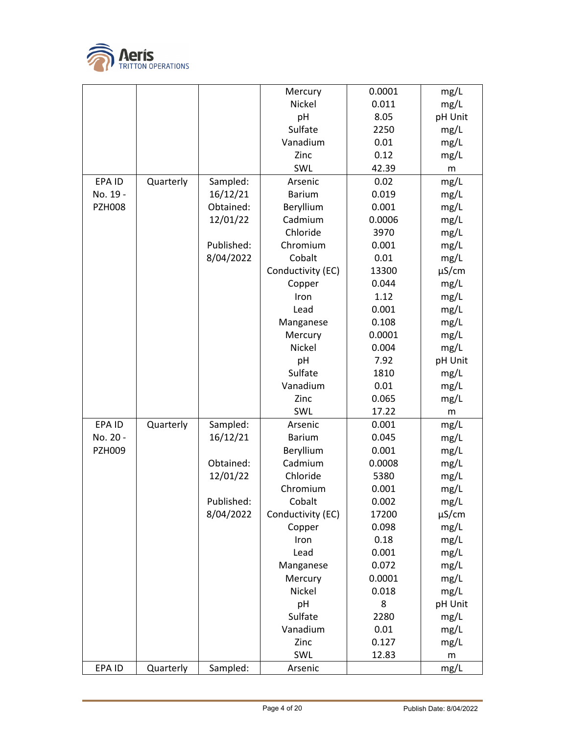

|               |           |            | Mercury           | 0.0001 | mg/L       |
|---------------|-----------|------------|-------------------|--------|------------|
|               |           |            | <b>Nickel</b>     | 0.011  | mg/L       |
|               |           |            | pH                | 8.05   | pH Unit    |
|               |           |            | Sulfate           | 2250   | mg/L       |
|               |           |            | Vanadium          | 0.01   | mg/L       |
|               |           |            | Zinc              | 0.12   | mg/L       |
|               |           |            | SWL               | 42.39  | m          |
| EPA ID        | Quarterly | Sampled:   | Arsenic           | 0.02   | mg/L       |
| No. 19 -      |           | 16/12/21   | <b>Barium</b>     | 0.019  | mg/L       |
| <b>PZH008</b> |           | Obtained:  | Beryllium         | 0.001  | mg/L       |
|               |           | 12/01/22   | Cadmium           | 0.0006 | mg/L       |
|               |           |            | Chloride          | 3970   | mg/L       |
|               |           | Published: | Chromium          | 0.001  | mg/L       |
|               |           | 8/04/2022  | Cobalt            | 0.01   | mg/L       |
|               |           |            | Conductivity (EC) | 13300  | $\mu$ S/cm |
|               |           |            | Copper            | 0.044  | mg/L       |
|               |           |            | Iron              | 1.12   | mg/L       |
|               |           |            | Lead              | 0.001  | mg/L       |
|               |           |            | Manganese         | 0.108  | mg/L       |
|               |           |            | Mercury           | 0.0001 | mg/L       |
|               |           |            | Nickel            | 0.004  | mg/L       |
|               |           |            | pH                | 7.92   | pH Unit    |
|               |           |            | Sulfate           | 1810   | mg/L       |
|               |           |            | Vanadium          | 0.01   | mg/L       |
|               |           |            | Zinc              | 0.065  | mg/L       |
|               |           |            | SWL               | 17.22  | m          |
| EPA ID        | Quarterly | Sampled:   | Arsenic           | 0.001  | mg/L       |
| No. 20 -      |           | 16/12/21   | <b>Barium</b>     | 0.045  | mg/L       |
| <b>PZH009</b> |           |            | Beryllium         | 0.001  | mg/L       |
|               |           | Obtained:  | Cadmium           | 0.0008 | mg/L       |
|               |           | 12/01/22   | Chloride          | 5380   | mg/L       |
|               |           |            | Chromium          | 0.001  | mg/L       |
|               |           | Published: | Cobalt            | 0.002  | mg/L       |
|               |           | 8/04/2022  | Conductivity (EC) | 17200  | $\mu$ S/cm |
|               |           |            | Copper            | 0.098  | mg/L       |
|               |           |            | Iron              | 0.18   | mg/L       |
|               |           |            | Lead              | 0.001  | mg/L       |
|               |           |            | Manganese         | 0.072  | mg/L       |
|               |           |            | Mercury           | 0.0001 | mg/L       |
|               |           |            | Nickel            | 0.018  | mg/L       |
|               |           |            | pH                | 8      | pH Unit    |
|               |           |            | Sulfate           | 2280   | mg/L       |
|               |           |            | Vanadium          | 0.01   | mg/L       |
|               |           |            | Zinc              | 0.127  | mg/L       |
|               |           |            | SWL               | 12.83  | m          |
| EPA ID        | Quarterly | Sampled:   | Arsenic           |        | mg/L       |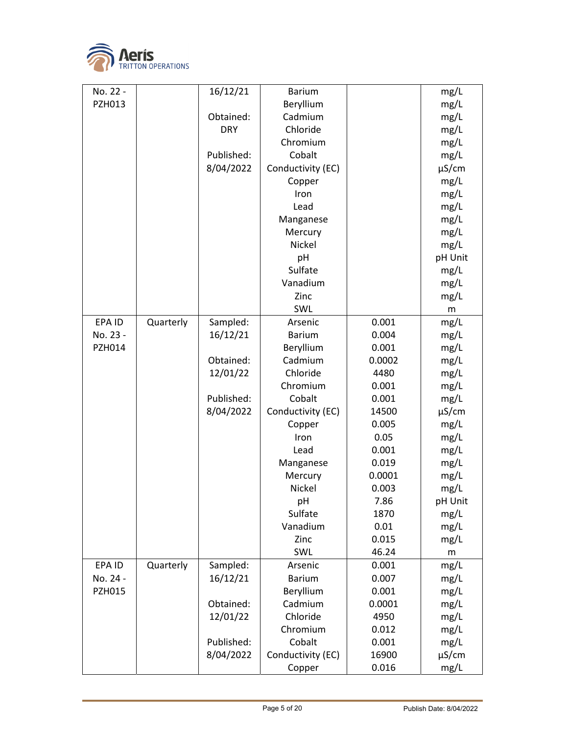

| No. 22 -      |           | 16/12/21   | <b>Barium</b>     |        | mg/L       |
|---------------|-----------|------------|-------------------|--------|------------|
| PZH013        |           |            | Beryllium         |        | mg/L       |
|               |           | Obtained:  | Cadmium           |        | mg/L       |
|               |           | <b>DRY</b> | Chloride          |        | mg/L       |
|               |           |            | Chromium          |        | mg/L       |
|               |           | Published: | Cobalt            |        | mg/L       |
|               |           | 8/04/2022  | Conductivity (EC) |        | $\mu$ S/cm |
|               |           |            | Copper            |        | mg/L       |
|               |           |            | Iron              |        | mg/L       |
|               |           |            | Lead              |        | mg/L       |
|               |           |            | Manganese         |        | mg/L       |
|               |           |            | Mercury           |        | mg/L       |
|               |           |            | Nickel            |        | mg/L       |
|               |           |            | pH                |        | pH Unit    |
|               |           |            | Sulfate           |        | mg/L       |
|               |           |            | Vanadium          |        | mg/L       |
|               |           |            | Zinc              |        | mg/L       |
|               |           |            | SWL               |        | m          |
| EPA ID        | Quarterly | Sampled:   | Arsenic           | 0.001  | mg/L       |
| No. 23 -      |           | 16/12/21   | <b>Barium</b>     | 0.004  | mg/L       |
| <b>PZH014</b> |           |            | Beryllium         | 0.001  | mg/L       |
|               |           | Obtained:  | Cadmium           | 0.0002 | mg/L       |
|               |           | 12/01/22   | Chloride          | 4480   | mg/L       |
|               |           |            | Chromium          | 0.001  | mg/L       |
|               |           | Published: | Cobalt            | 0.001  | mg/L       |
|               |           | 8/04/2022  | Conductivity (EC) | 14500  | $\mu$ S/cm |
|               |           |            | Copper            | 0.005  | mg/L       |
|               |           |            | Iron              | 0.05   | mg/L       |
|               |           |            | Lead              | 0.001  | mg/L       |
|               |           |            | Manganese         | 0.019  | mg/L       |
|               |           |            | Mercury           | 0.0001 | mg/L       |
|               |           |            | Nickel            | 0.003  | mg/L       |
|               |           |            | pH                | 7.86   | pH Unit    |
|               |           |            | Sulfate           | 1870   | mg/L       |
|               |           |            | Vanadium          | 0.01   | mg/L       |
|               |           |            | Zinc              | 0.015  | mg/L       |
|               |           |            | SWL               | 46.24  | m          |
| EPA ID        | Quarterly | Sampled:   | Arsenic           | 0.001  | mg/L       |
| No. 24 -      |           | 16/12/21   | <b>Barium</b>     | 0.007  | mg/L       |
| <b>PZH015</b> |           |            | Beryllium         | 0.001  | mg/L       |
|               |           | Obtained:  | Cadmium           | 0.0001 | mg/L       |
|               |           | 12/01/22   | Chloride          | 4950   | mg/L       |
|               |           |            | Chromium          | 0.012  | mg/L       |
|               |           | Published: | Cobalt            | 0.001  | mg/L       |
|               |           | 8/04/2022  | Conductivity (EC) | 16900  | $\mu$ S/cm |
|               |           |            | Copper            | 0.016  | mg/L       |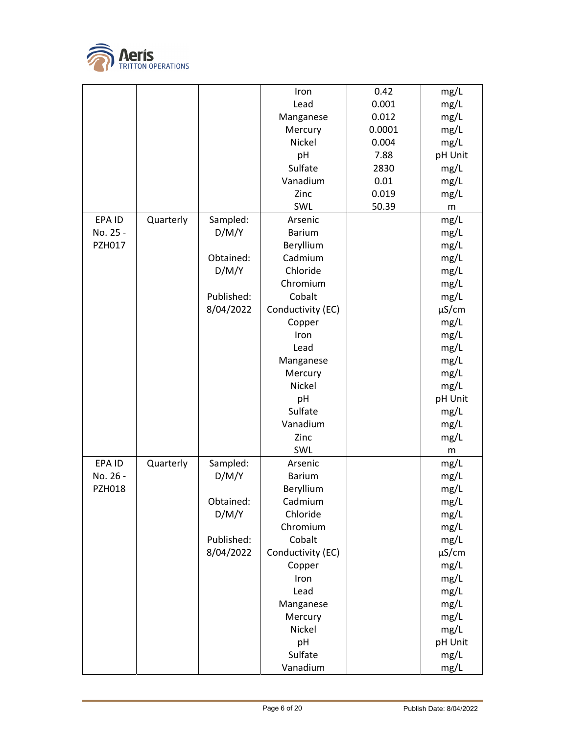

|               |           |            | Iron              | 0.42   | mg/L       |
|---------------|-----------|------------|-------------------|--------|------------|
|               |           |            | Lead              | 0.001  | mg/L       |
|               |           |            | Manganese         | 0.012  | mg/L       |
|               |           |            | Mercury           | 0.0001 | mg/L       |
|               |           |            | Nickel            | 0.004  | mg/L       |
|               |           |            | pH                | 7.88   | pH Unit    |
|               |           |            | Sulfate           | 2830   | mg/L       |
|               |           |            | Vanadium          | 0.01   | mg/L       |
|               |           |            | Zinc              | 0.019  | mg/L       |
|               |           |            | SWL               | 50.39  | m          |
| EPA ID        | Quarterly | Sampled:   | Arsenic           |        | mg/L       |
| No. 25 -      |           | D/M/Y      | <b>Barium</b>     |        | mg/L       |
| PZH017        |           |            | Beryllium         |        | mg/L       |
|               |           | Obtained:  | Cadmium           |        | mg/L       |
|               |           | D/M/Y      | Chloride          |        | mg/L       |
|               |           |            | Chromium          |        | mg/L       |
|               |           | Published: | Cobalt            |        | mg/L       |
|               |           | 8/04/2022  | Conductivity (EC) |        | $\mu$ S/cm |
|               |           |            | Copper            |        | mg/L       |
|               |           |            | Iron              |        | mg/L       |
|               |           |            | Lead              |        | mg/L       |
|               |           |            | Manganese         |        | mg/L       |
|               |           |            | Mercury           |        | mg/L       |
|               |           |            | Nickel            |        | mg/L       |
|               |           |            | pH                |        | pH Unit    |
|               |           |            | Sulfate           |        | mg/L       |
|               |           |            | Vanadium          |        | mg/L       |
|               |           |            | Zinc              |        | mg/L       |
|               |           |            | SWL               |        | m          |
| EPA ID        | Quarterly | Sampled:   | Arsenic           |        | mg/L       |
| No. 26 -      |           | D/M/Y      | <b>Barium</b>     |        | mg/L       |
| <b>PZH018</b> |           |            | Beryllium         |        | mg/L       |
|               |           | Obtained:  | Cadmium           |        | mg/L       |
|               |           | D/M/Y      | Chloride          |        | mg/L       |
|               |           |            | Chromium          |        | mg/L       |
|               |           | Published: | Cobalt            |        | mg/L       |
|               |           | 8/04/2022  | Conductivity (EC) |        | $\mu$ S/cm |
|               |           |            |                   |        |            |
|               |           |            | Copper            |        | mg/L       |
|               |           |            | Iron              |        | mg/L       |
|               |           |            | Lead              |        | mg/L       |
|               |           |            | Manganese         |        | mg/L       |
|               |           |            | Mercury           |        | mg/L       |
|               |           |            | Nickel            |        | mg/L       |
|               |           |            | pH                |        | pH Unit    |
|               |           |            | Sulfate           |        | mg/L       |
|               |           |            | Vanadium          |        | mg/L       |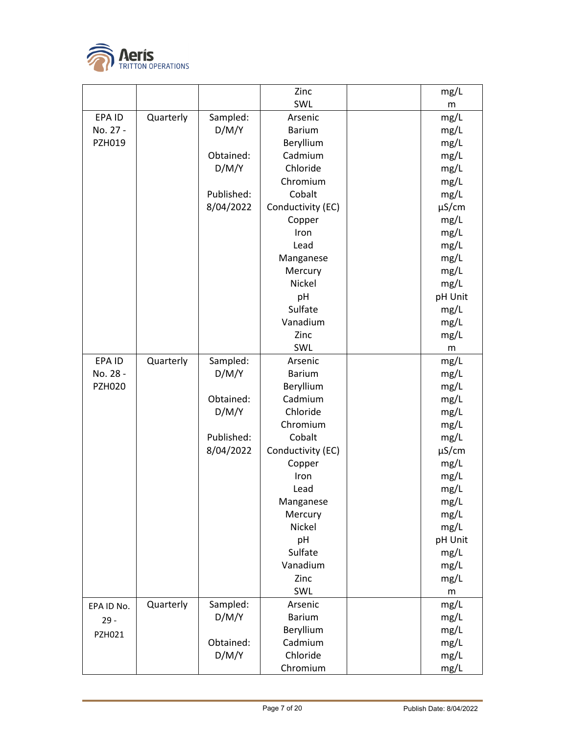

|               |           |            | Zinc              | mg/L       |
|---------------|-----------|------------|-------------------|------------|
|               |           |            | SWL               | m          |
| EPA ID        | Quarterly | Sampled:   | Arsenic           | mg/L       |
| No. 27 -      |           | D/M/Y      | <b>Barium</b>     | mg/L       |
| PZH019        |           |            | Beryllium         | mg/L       |
|               |           | Obtained:  | Cadmium           | mg/L       |
|               |           | D/M/Y      | Chloride          | mg/L       |
|               |           |            | Chromium          | mg/L       |
|               |           | Published: | Cobalt            | mg/L       |
|               |           | 8/04/2022  | Conductivity (EC) | $\mu$ S/cm |
|               |           |            | Copper            | mg/L       |
|               |           |            | Iron              | mg/L       |
|               |           |            | Lead              | mg/L       |
|               |           |            | Manganese         | mg/L       |
|               |           |            | Mercury           | mg/L       |
|               |           |            | Nickel            | mg/L       |
|               |           |            | pH                | pH Unit    |
|               |           |            | Sulfate           | mg/L       |
|               |           |            | Vanadium          | mg/L       |
|               |           |            | Zinc              | mg/L       |
|               |           |            | SWL               | m          |
| EPA ID        | Quarterly | Sampled:   | Arsenic           | mg/L       |
| No. 28 -      |           | D/M/Y      | <b>Barium</b>     | mg/L       |
| <b>PZH020</b> |           |            | Beryllium         | mg/L       |
|               |           | Obtained:  | Cadmium           | mg/L       |
|               |           | D/M/Y      | Chloride          | mg/L       |
|               |           |            | Chromium          | mg/L       |
|               |           | Published: | Cobalt            | mg/L       |
|               |           | 8/04/2022  | Conductivity (EC) | $\mu$ S/cm |
|               |           |            | Copper            | mg/L       |
|               |           |            | Iron              | mg/L       |
|               |           |            | Lead              | mg/L       |
|               |           |            | Manganese         | mg/L       |
|               |           |            | Mercury           | mg/L       |
|               |           |            | Nickel            | mg/L       |
|               |           |            | pH                | pH Unit    |
|               |           |            | Sulfate           | mg/L       |
|               |           |            | Vanadium          | mg/L       |
|               |           |            | Zinc              | mg/L       |
|               |           |            | SWL               | m          |
| EPA ID No.    | Quarterly | Sampled:   | Arsenic           | mg/L       |
| $29 -$        |           | D/M/Y      | <b>Barium</b>     | mg/L       |
| PZH021        |           |            | Beryllium         | mg/L       |
|               |           | Obtained:  | Cadmium           | mg/L       |
|               |           | D/M/Y      | Chloride          | mg/L       |
|               |           |            | Chromium          | mg/L       |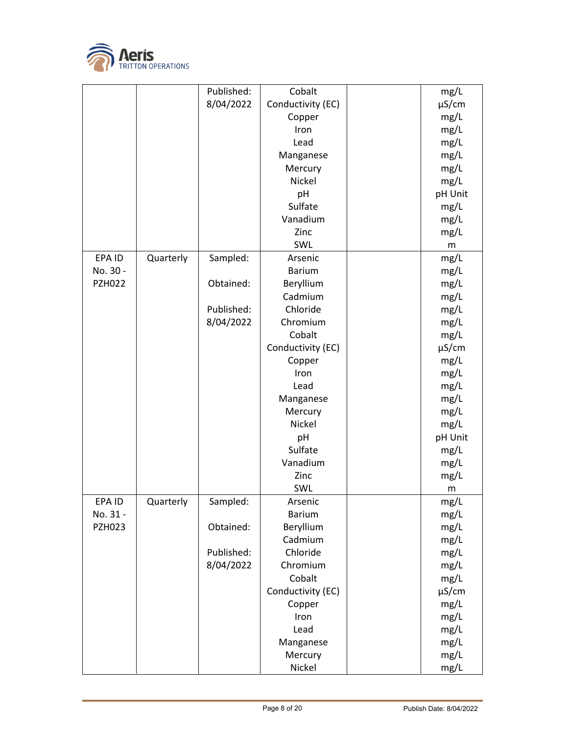

|               |           | Published: | Cobalt            | mg/L       |
|---------------|-----------|------------|-------------------|------------|
|               |           | 8/04/2022  | Conductivity (EC) | $\mu$ S/cm |
|               |           |            | Copper            | mg/L       |
|               |           |            | Iron              | mg/L       |
|               |           |            | Lead              | mg/L       |
|               |           |            | Manganese         | mg/L       |
|               |           |            | Mercury           | mg/L       |
|               |           |            | Nickel            | mg/L       |
|               |           |            | pH                | pH Unit    |
|               |           |            | Sulfate           | mg/L       |
|               |           |            | Vanadium          | mg/L       |
|               |           |            | Zinc              | mg/L       |
|               |           |            | SWL               | m          |
| EPA ID        | Quarterly | Sampled:   | Arsenic           | mg/L       |
| No. 30 -      |           |            | <b>Barium</b>     | mg/L       |
| <b>PZH022</b> |           | Obtained:  | Beryllium         | mg/L       |
|               |           |            | Cadmium           | mg/L       |
|               |           | Published: | Chloride          | mg/L       |
|               |           | 8/04/2022  | Chromium          | mg/L       |
|               |           |            | Cobalt            | mg/L       |
|               |           |            | Conductivity (EC) | $\mu$ S/cm |
|               |           |            | Copper            | mg/L       |
|               |           |            | Iron              | mg/L       |
|               |           |            | Lead              | mg/L       |
|               |           |            | Manganese         | mg/L       |
|               |           |            | Mercury           | mg/L       |
|               |           |            | Nickel            | mg/L       |
|               |           |            | pH                | pH Unit    |
|               |           |            | Sulfate           | mg/L       |
|               |           |            | Vanadium          | mg/L       |
|               |           |            | Zinc              | mg/L       |
|               |           |            | SWL               | m          |
| EPA ID        | Quarterly | Sampled:   | Arsenic           | mg/L       |
| No. 31 -      |           |            | <b>Barium</b>     | mg/L       |
| <b>PZH023</b> |           | Obtained:  | Beryllium         | mg/L       |
|               |           |            | Cadmium           | mg/L       |
|               |           | Published: | Chloride          | mg/L       |
|               |           | 8/04/2022  | Chromium          | mg/L       |
|               |           |            | Cobalt            | mg/L       |
|               |           |            | Conductivity (EC) | $\mu$ S/cm |
|               |           |            | Copper            | mg/L       |
|               |           |            | Iron              | mg/L       |
|               |           |            | Lead              | mg/L       |
|               |           |            | Manganese         | mg/L       |
|               |           |            | Mercury           | mg/L       |
|               |           |            | Nickel            | mg/L       |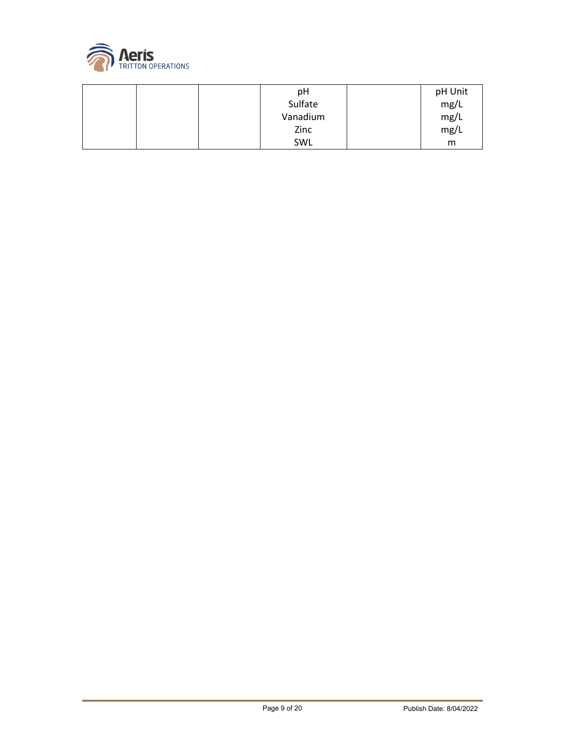

| рH       | pH Unit |
|----------|---------|
| Sulfate  | mg/L    |
| Vanadium | mg/L    |
| Zinc     | mg/L    |
| SWL      | m       |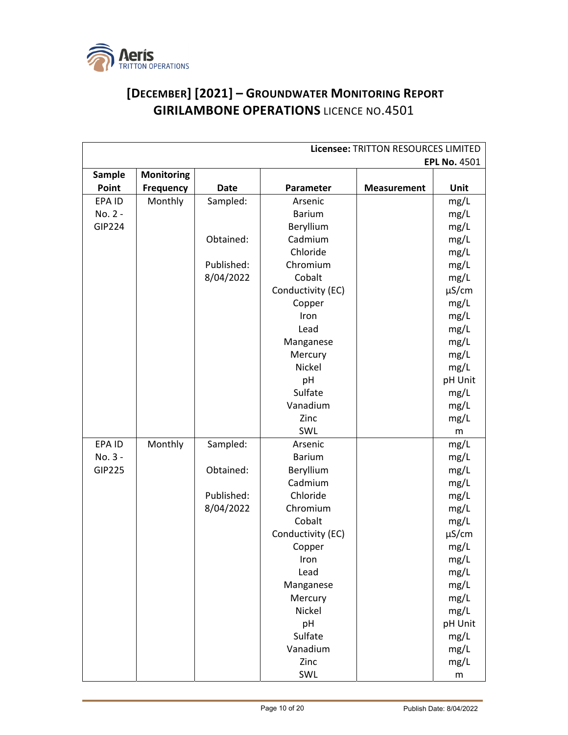

## **[DECEMBER] [2021] – GROUNDWATER MONITORING REPORT GIRILAMBONE OPERATIONS** LICENCE NO.4501

| Licensee: TRITTON RESOURCES LIMITED |                   |             |                   |                    |                     |
|-------------------------------------|-------------------|-------------|-------------------|--------------------|---------------------|
|                                     |                   |             |                   |                    | <b>EPL No. 4501</b> |
| Sample                              | <b>Monitoring</b> |             |                   |                    |                     |
| Point                               | <b>Frequency</b>  | <b>Date</b> | Parameter         | <b>Measurement</b> | Unit                |
| EPA ID                              | Monthly           | Sampled:    | Arsenic           |                    | mg/L                |
| No. 2 -                             |                   |             | <b>Barium</b>     |                    | mg/L                |
| <b>GIP224</b>                       |                   |             | Beryllium         |                    | mg/L                |
|                                     |                   | Obtained:   | Cadmium           |                    | mg/L                |
|                                     |                   |             | Chloride          |                    | mg/L                |
|                                     |                   | Published:  | Chromium          |                    | mg/L                |
|                                     |                   | 8/04/2022   | Cobalt            |                    | mg/L                |
|                                     |                   |             | Conductivity (EC) |                    | $\mu$ S/cm          |
|                                     |                   |             | Copper            |                    | mg/L                |
|                                     |                   |             | Iron              |                    | mg/L                |
|                                     |                   |             | Lead              |                    | mg/L                |
|                                     |                   |             | Manganese         |                    | mg/L                |
|                                     |                   |             | Mercury           |                    | mg/L                |
|                                     |                   |             | Nickel            |                    | mg/L                |
|                                     |                   |             | pH                |                    | pH Unit             |
|                                     |                   |             | Sulfate           |                    | mg/L                |
|                                     |                   |             | Vanadium          |                    | mg/L                |
|                                     |                   |             | Zinc              |                    | mg/L                |
|                                     |                   |             | SWL               |                    | m                   |
| EPA ID                              | Monthly           | Sampled:    | Arsenic           |                    | mg/L                |
| No. 3 -                             |                   |             | <b>Barium</b>     |                    | mg/L                |
| <b>GIP225</b>                       |                   | Obtained:   | Beryllium         |                    | mg/L                |
|                                     |                   |             | Cadmium           |                    | mg/L                |
|                                     |                   | Published:  | Chloride          |                    | mg/L                |
|                                     |                   | 8/04/2022   | Chromium          |                    | mg/L                |
|                                     |                   |             | Cobalt            |                    | mg/L                |
|                                     |                   |             | Conductivity (EC) |                    | $\mu$ S/cm          |
|                                     |                   |             | Copper            |                    | mg/L                |
|                                     |                   |             | Iron              |                    | mg/L                |
|                                     |                   |             | Lead              |                    | mg/L                |
|                                     |                   |             | Manganese         |                    | mg/L                |
|                                     |                   |             | Mercury           |                    | mg/L                |
|                                     |                   |             | Nickel            |                    | mg/L                |
|                                     |                   |             | pH                |                    | pH Unit             |
|                                     |                   |             | Sulfate           |                    | mg/L                |
|                                     |                   |             | Vanadium          |                    | mg/L                |
|                                     |                   |             | Zinc              |                    | mg/L                |
|                                     |                   |             | SWL               |                    | ${\sf m}$           |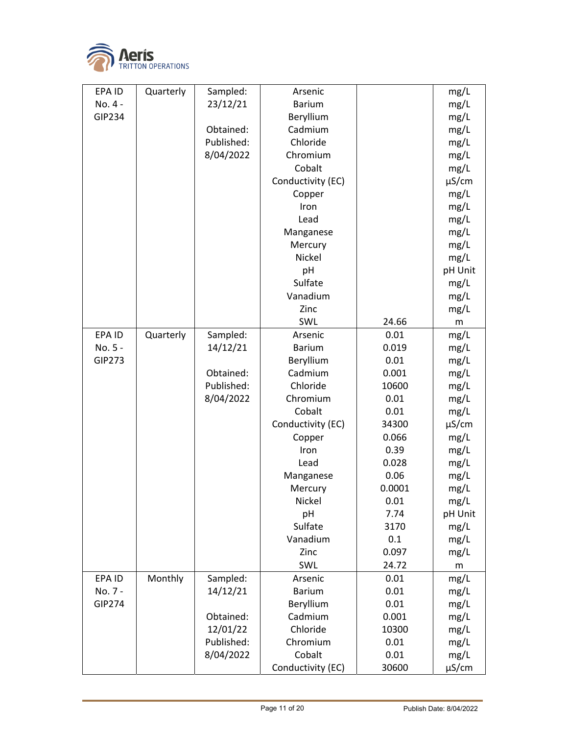

| EPA ID        | Quarterly | Sampled:   | Arsenic           |        | mg/L       |
|---------------|-----------|------------|-------------------|--------|------------|
| No. 4 -       |           | 23/12/21   | <b>Barium</b>     |        | mg/L       |
| <b>GIP234</b> |           |            | Beryllium         |        | mg/L       |
|               |           | Obtained:  | Cadmium           |        | mg/L       |
|               |           | Published: | Chloride          |        | mg/L       |
|               |           | 8/04/2022  | Chromium          |        | mg/L       |
|               |           |            | Cobalt            |        | mg/L       |
|               |           |            | Conductivity (EC) |        | $\mu$ S/cm |
|               |           |            | Copper            |        | mg/L       |
|               |           |            | Iron              |        | mg/L       |
|               |           |            | Lead              |        | mg/L       |
|               |           |            | Manganese         |        | mg/L       |
|               |           |            | Mercury           |        | mg/L       |
|               |           |            | Nickel            |        | mg/L       |
|               |           |            | pH                |        | pH Unit    |
|               |           |            | Sulfate           |        | mg/L       |
|               |           |            | Vanadium          |        | mg/L       |
|               |           |            | Zinc              |        | mg/L       |
|               |           |            | SWL               | 24.66  | m          |
| EPA ID        | Quarterly | Sampled:   | Arsenic           | 0.01   | mg/L       |
| No. 5 -       |           | 14/12/21   | <b>Barium</b>     | 0.019  | mg/L       |
| <b>GIP273</b> |           |            | Beryllium         | 0.01   | mg/L       |
|               |           | Obtained:  | Cadmium           | 0.001  | mg/L       |
|               |           | Published: | Chloride          | 10600  | mg/L       |
|               |           | 8/04/2022  | Chromium          | 0.01   | mg/L       |
|               |           |            | Cobalt            | 0.01   | mg/L       |
|               |           |            | Conductivity (EC) | 34300  | $\mu$ S/cm |
|               |           |            | Copper            | 0.066  | mg/L       |
|               |           |            | Iron              | 0.39   | mg/L       |
|               |           |            | Lead              | 0.028  | mg/L       |
|               |           |            | Manganese         | 0.06   | mg/L       |
|               |           |            | Mercury           | 0.0001 | mg/L       |
|               |           |            | Nickel            | 0.01   | mg/L       |
|               |           |            | pH                | 7.74   | pH Unit    |
|               |           |            | Sulfate           | 3170   | mg/L       |
|               |           |            | Vanadium          | 0.1    | mg/L       |
|               |           |            | Zinc              | 0.097  | mg/L       |
|               |           |            | SWL               | 24.72  | m          |
| EPA ID        | Monthly   | Sampled:   | Arsenic           | 0.01   | mg/L       |
| No. 7 -       |           | 14/12/21   | <b>Barium</b>     | 0.01   | mg/L       |
| GIP274        |           |            | Beryllium         | 0.01   | mg/L       |
|               |           | Obtained:  | Cadmium           | 0.001  | mg/L       |
|               |           | 12/01/22   | Chloride          | 10300  | mg/L       |
|               |           | Published: | Chromium          | 0.01   | mg/L       |
|               |           | 8/04/2022  | Cobalt            | 0.01   | mg/L       |
|               |           |            | Conductivity (EC) | 30600  | $\mu$ S/cm |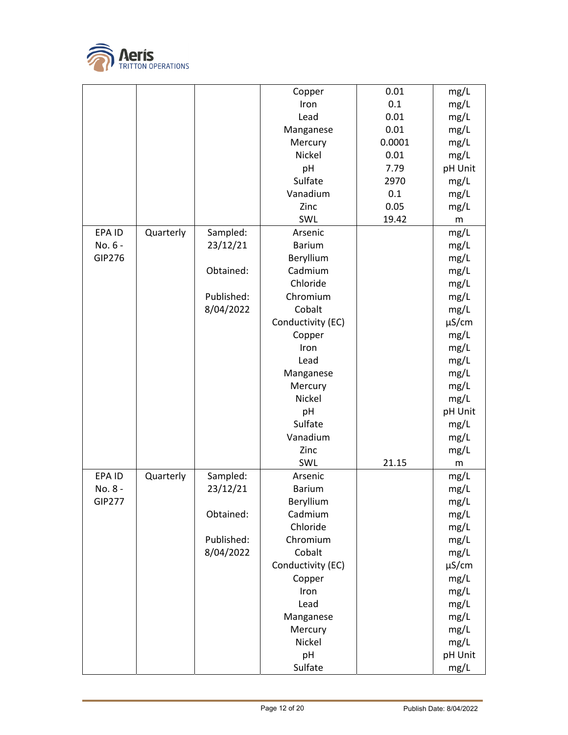

|               |           |            | Copper            | 0.01   | mg/L       |
|---------------|-----------|------------|-------------------|--------|------------|
|               |           |            | Iron              | 0.1    | mg/L       |
|               |           |            | Lead              | 0.01   | mg/L       |
|               |           |            | Manganese         | 0.01   | mg/L       |
|               |           |            | Mercury           | 0.0001 | mg/L       |
|               |           |            | Nickel            | 0.01   | mg/L       |
|               |           |            | pH                | 7.79   | pH Unit    |
|               |           |            | Sulfate           | 2970   | mg/L       |
|               |           |            | Vanadium          | 0.1    | mg/L       |
|               |           |            | Zinc              | 0.05   | mg/L       |
|               |           |            | SWL               | 19.42  | ${\sf m}$  |
| EPA ID        | Quarterly | Sampled:   | Arsenic           |        | mg/L       |
| No. 6 -       |           | 23/12/21   | <b>Barium</b>     |        | mg/L       |
| GIP276        |           |            | Beryllium         |        | mg/L       |
|               |           | Obtained:  | Cadmium           |        | mg/L       |
|               |           |            | Chloride          |        | mg/L       |
|               |           | Published: | Chromium          |        | mg/L       |
|               |           | 8/04/2022  | Cobalt            |        | mg/L       |
|               |           |            | Conductivity (EC) |        | $\mu$ S/cm |
|               |           |            | Copper            |        | mg/L       |
|               |           |            | Iron              |        |            |
|               |           |            |                   |        | mg/L       |
|               |           |            | Lead              |        | mg/L       |
|               |           |            | Manganese         |        | mg/L       |
|               |           |            | Mercury           |        | mg/L       |
|               |           |            | Nickel            |        | mg/L       |
|               |           |            | pH                |        | pH Unit    |
|               |           |            | Sulfate           |        | mg/L       |
|               |           |            | Vanadium          |        | mg/L       |
|               |           |            | Zinc              |        | mg/L       |
|               |           |            | SWL               | 21.15  | m          |
| EPA ID        | Quarterly | Sampled:   | Arsenic           |        | mg/L       |
| No. 8 -       |           | 23/12/21   | <b>Barium</b>     |        | mg/L       |
| <b>GIP277</b> |           |            | Beryllium         |        | mg/L       |
|               |           | Obtained:  | Cadmium           |        | mg/L       |
|               |           |            | Chloride          |        | mg/L       |
|               |           | Published: | Chromium          |        | mg/L       |
|               |           | 8/04/2022  | Cobalt            |        | mg/L       |
|               |           |            | Conductivity (EC) |        | $\mu$ S/cm |
|               |           |            | Copper            |        | mg/L       |
|               |           |            | Iron              |        | mg/L       |
|               |           |            | Lead              |        | mg/L       |
|               |           |            | Manganese         |        | mg/L       |
|               |           |            | Mercury           |        | mg/L       |
|               |           |            | Nickel            |        | mg/L       |
|               |           |            | pH                |        | pH Unit    |
|               |           |            |                   |        |            |
|               |           |            | Sulfate           |        | mg/L       |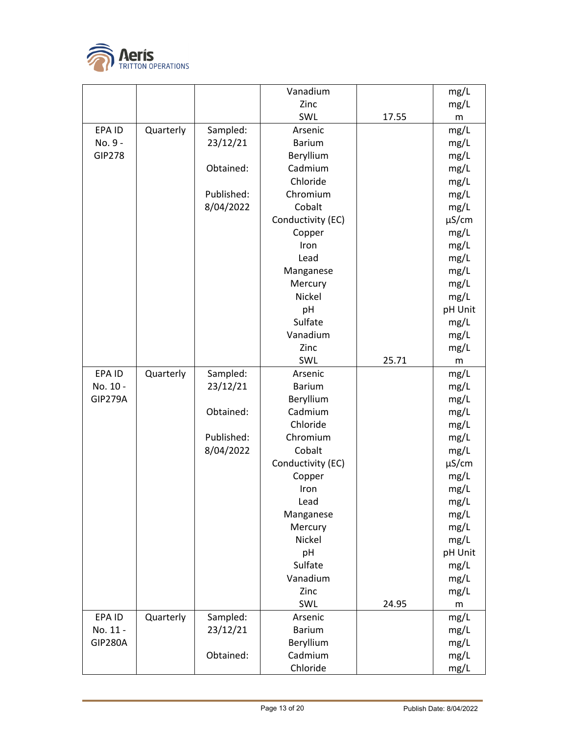

|                |           |            | Vanadium          |       | mg/L       |
|----------------|-----------|------------|-------------------|-------|------------|
|                |           |            | Zinc              |       | mg/L       |
|                |           |            | SWL               | 17.55 | m          |
| EPA ID         | Quarterly | Sampled:   | Arsenic           |       | mg/L       |
| No. 9 -        |           | 23/12/21   | <b>Barium</b>     |       | mg/L       |
| <b>GIP278</b>  |           |            | Beryllium         |       | mg/L       |
|                |           | Obtained:  | Cadmium           |       | mg/L       |
|                |           |            | Chloride          |       | mg/L       |
|                |           | Published: | Chromium          |       | mg/L       |
|                |           | 8/04/2022  | Cobalt            |       | mg/L       |
|                |           |            | Conductivity (EC) |       | $\mu$ S/cm |
|                |           |            | Copper            |       | mg/L       |
|                |           |            | Iron              |       | mg/L       |
|                |           |            | Lead              |       | mg/L       |
|                |           |            | Manganese         |       | mg/L       |
|                |           |            | Mercury           |       | mg/L       |
|                |           |            | Nickel            |       | mg/L       |
|                |           |            | pH                |       | pH Unit    |
|                |           |            | Sulfate           |       | mg/L       |
|                |           |            | Vanadium          |       | mg/L       |
|                |           |            | Zinc              |       | mg/L       |
|                |           |            | SWL               | 25.71 | m          |
| EPA ID         | Quarterly | Sampled:   | Arsenic           |       | mg/L       |
| No. 10 -       |           | 23/12/21   | <b>Barium</b>     |       | mg/L       |
| <b>GIP279A</b> |           |            | Beryllium         |       | mg/L       |
|                |           | Obtained:  | Cadmium           |       | mg/L       |
|                |           |            | Chloride          |       | mg/L       |
|                |           | Published: | Chromium          |       | mg/L       |
|                |           | 8/04/2022  | Cobalt            |       | mg/L       |
|                |           |            | Conductivity (EC) |       | $\mu$ S/cm |
|                |           |            | Copper            |       | mg/L       |
|                |           |            | Iron              |       | mg/L       |
|                |           |            | Lead              |       | mg/L       |
|                |           |            | Manganese         |       | mg/L       |
|                |           |            | Mercury           |       | mg/L       |
|                |           |            | Nickel            |       | mg/L       |
|                |           |            | pH                |       | pH Unit    |
|                |           |            | Sulfate           |       | mg/L       |
|                |           |            | Vanadium          |       | mg/L       |
|                |           |            | Zinc              |       | mg/L       |
|                |           |            | SWL               | 24.95 | ${\sf m}$  |
| EPA ID         | Quarterly | Sampled:   | Arsenic           |       | mg/L       |
| No. 11 -       |           | 23/12/21   | <b>Barium</b>     |       | mg/L       |
| <b>GIP280A</b> |           |            | Beryllium         |       | mg/L       |
|                |           | Obtained:  | Cadmium           |       | mg/L       |
|                |           |            | Chloride          |       | mg/L       |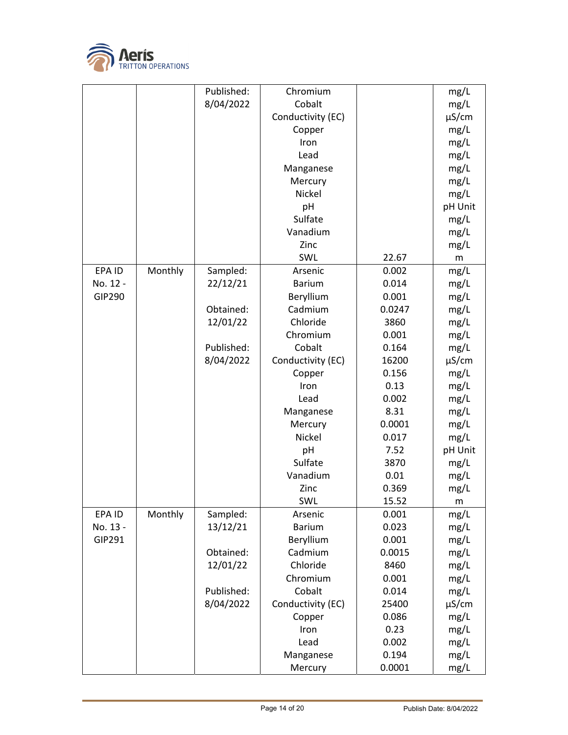

|               |         | Published: | Chromium          |        | mg/L       |
|---------------|---------|------------|-------------------|--------|------------|
|               |         | 8/04/2022  | Cobalt            |        | mg/L       |
|               |         |            | Conductivity (EC) |        | $\mu$ S/cm |
|               |         |            | Copper            |        | mg/L       |
|               |         |            | Iron              |        | mg/L       |
|               |         |            | Lead              |        | mg/L       |
|               |         |            | Manganese         |        | mg/L       |
|               |         |            | Mercury           |        | mg/L       |
|               |         |            | Nickel            |        | mg/L       |
|               |         |            | pH                |        | pH Unit    |
|               |         |            | Sulfate           |        | mg/L       |
|               |         |            | Vanadium          |        | mg/L       |
|               |         |            | Zinc              |        | mg/L       |
|               |         |            | SWL               | 22.67  | m          |
| EPA ID        | Monthly | Sampled:   | Arsenic           | 0.002  | mg/L       |
| No. 12 -      |         | 22/12/21   | <b>Barium</b>     | 0.014  | mg/L       |
| <b>GIP290</b> |         |            | Beryllium         | 0.001  | mg/L       |
|               |         | Obtained:  | Cadmium           | 0.0247 | mg/L       |
|               |         | 12/01/22   | Chloride          | 3860   | mg/L       |
|               |         |            | Chromium          | 0.001  | mg/L       |
|               |         | Published: | Cobalt            | 0.164  | mg/L       |
|               |         | 8/04/2022  | Conductivity (EC) | 16200  | $\mu$ S/cm |
|               |         |            | Copper            | 0.156  | mg/L       |
|               |         |            | Iron              | 0.13   | mg/L       |
|               |         |            | Lead              | 0.002  | mg/L       |
|               |         |            | Manganese         | 8.31   | mg/L       |
|               |         |            | Mercury           | 0.0001 | mg/L       |
|               |         |            | Nickel            | 0.017  | mg/L       |
|               |         |            | pH                | 7.52   | pH Unit    |
|               |         |            | Sulfate           | 3870   | mg/L       |
|               |         |            | Vanadium          | 0.01   | mg/L       |
|               |         |            | Zinc              | 0.369  | mg/L       |
|               |         |            | SWL               | 15.52  | Ш          |
| EPA ID        | Monthly | Sampled:   | Arsenic           | 0.001  | mg/L       |
| No. 13 -      |         | 13/12/21   | <b>Barium</b>     | 0.023  | mg/L       |
| GIP291        |         |            | Beryllium         | 0.001  | mg/L       |
|               |         | Obtained:  | Cadmium           | 0.0015 | mg/L       |
|               |         | 12/01/22   | Chloride          | 8460   | mg/L       |
|               |         |            | Chromium          | 0.001  | mg/L       |
|               |         | Published: | Cobalt            | 0.014  | mg/L       |
|               |         | 8/04/2022  | Conductivity (EC) | 25400  | $\mu$ S/cm |
|               |         |            | Copper            | 0.086  | mg/L       |
|               |         |            | Iron              | 0.23   | mg/L       |
|               |         |            | Lead              | 0.002  | mg/L       |
|               |         |            | Manganese         | 0.194  | mg/L       |
|               |         |            | Mercury           | 0.0001 | mg/L       |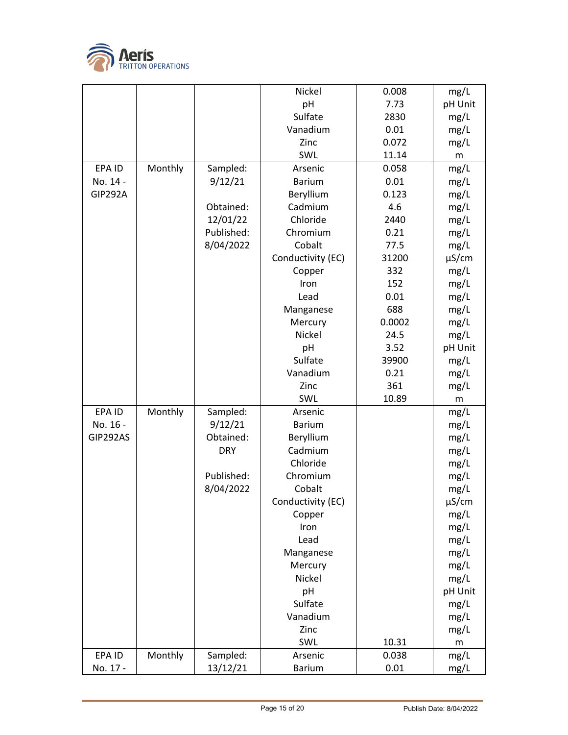

|                |         |            | Nickel               | 0.008  | mg/L         |
|----------------|---------|------------|----------------------|--------|--------------|
|                |         |            | pH                   | 7.73   | pH Unit      |
|                |         |            | Sulfate              | 2830   | mg/L         |
|                |         |            | Vanadium             | 0.01   | mg/L         |
|                |         |            | Zinc                 | 0.072  | mg/L         |
|                |         |            | SWL                  | 11.14  | m            |
| EPA ID         | Monthly | Sampled:   | Arsenic              | 0.058  | mg/L         |
| No. 14 -       |         | 9/12/21    | <b>Barium</b>        | 0.01   | mg/L         |
| <b>GIP292A</b> |         |            | Beryllium            | 0.123  | mg/L         |
|                |         | Obtained:  | Cadmium              | 4.6    | mg/L         |
|                |         | 12/01/22   | Chloride             | 2440   | mg/L         |
|                |         | Published: | Chromium             | 0.21   | mg/L         |
|                |         | 8/04/2022  | Cobalt               | 77.5   | mg/L         |
|                |         |            | Conductivity (EC)    | 31200  | $\mu$ S/cm   |
|                |         |            | Copper               | 332    | mg/L         |
|                |         |            | Iron                 | 152    | mg/L         |
|                |         |            | Lead                 | 0.01   | mg/L         |
|                |         |            | Manganese            | 688    | mg/L         |
|                |         |            | Mercury              | 0.0002 | mg/L         |
|                |         |            | Nickel               | 24.5   | mg/L         |
|                |         |            | pH                   | 3.52   | pH Unit      |
|                |         |            | Sulfate              | 39900  | mg/L         |
|                |         |            | Vanadium             | 0.21   | mg/L         |
|                |         |            | Zinc                 | 361    | mg/L         |
|                |         |            | SWL                  | 10.89  | ${\sf m}$    |
| EPA ID         | Monthly | Sampled:   | Arsenic              |        | mg/L         |
| No. 16 -       |         | 9/12/21    | <b>Barium</b>        |        | mg/L         |
| GIP292AS       |         | Obtained:  | Beryllium            |        | mg/L         |
|                |         | <b>DRY</b> | Cadmium              |        | mg/L         |
|                |         |            | Chloride             |        | mg/L         |
|                |         | Published: | Chromium             |        | mg/L         |
|                |         | 8/04/2022  | Cobalt               |        | mg/L         |
|                |         |            | Conductivity (EC)    |        | $\mu$ S/cm   |
|                |         |            | Copper<br>Iron       |        | mg/L         |
|                |         |            | Lead                 |        | mg/L         |
|                |         |            |                      |        | mg/L<br>mg/L |
|                |         |            | Manganese<br>Mercury |        | mg/L         |
|                |         |            | Nickel               |        | mg/L         |
|                |         |            | pH                   |        | pH Unit      |
|                |         |            | Sulfate              |        | mg/L         |
|                |         |            | Vanadium             |        | mg/L         |
|                |         |            | Zinc                 |        | mg/L         |
|                |         |            | SWL                  | 10.31  | m            |
| EPA ID         | Monthly | Sampled:   | Arsenic              | 0.038  | mg/L         |
| No. 17 -       |         | 13/12/21   | <b>Barium</b>        | 0.01   | mg/L         |
|                |         |            |                      |        |              |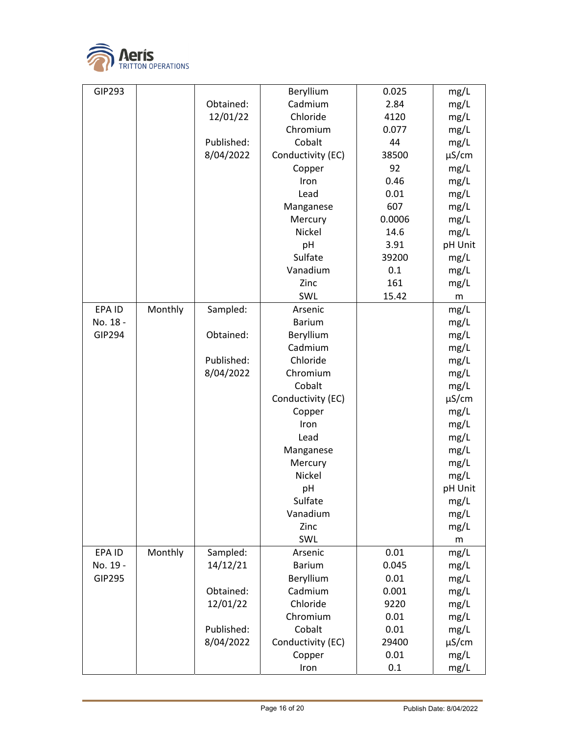

| GIP293        |         |            | Beryllium         | 0.025  | mg/L       |
|---------------|---------|------------|-------------------|--------|------------|
|               |         | Obtained:  | Cadmium           | 2.84   | mg/L       |
|               |         | 12/01/22   | Chloride          | 4120   | mg/L       |
|               |         |            | Chromium          | 0.077  | mg/L       |
|               |         | Published: | Cobalt            | 44     | mg/L       |
|               |         | 8/04/2022  | Conductivity (EC) | 38500  | $\mu$ S/cm |
|               |         |            | Copper            | 92     | mg/L       |
|               |         |            | Iron              | 0.46   | mg/L       |
|               |         |            | Lead              | 0.01   | mg/L       |
|               |         |            | Manganese         | 607    | mg/L       |
|               |         |            | Mercury           | 0.0006 | mg/L       |
|               |         |            | Nickel            | 14.6   | mg/L       |
|               |         |            | pH                | 3.91   | pH Unit    |
|               |         |            | Sulfate           | 39200  | mg/L       |
|               |         |            | Vanadium          | 0.1    | mg/L       |
|               |         |            | Zinc              | 161    | mg/L       |
|               |         |            | SWL               | 15.42  | m          |
| EPA ID        | Monthly | Sampled:   | Arsenic           |        | mg/L       |
| No. 18 -      |         |            | <b>Barium</b>     |        | mg/L       |
| GIP294        |         | Obtained:  | Beryllium         |        | mg/L       |
|               |         |            | Cadmium           |        | mg/L       |
|               |         | Published: | Chloride          |        | mg/L       |
|               |         | 8/04/2022  | Chromium          |        | mg/L       |
|               |         |            | Cobalt            |        | mg/L       |
|               |         |            | Conductivity (EC) |        | $\mu$ S/cm |
|               |         |            | Copper            |        | mg/L       |
|               |         |            | Iron              |        | mg/L       |
|               |         |            | Lead              |        | mg/L       |
|               |         |            | Manganese         |        | mg/L       |
|               |         |            | Mercury           |        | mg/L       |
|               |         |            | Nickel            |        | mg/L       |
|               |         |            | pH                |        | pH Unit    |
|               |         |            | Sulfate           |        | mg/L       |
|               |         |            | Vanadium          |        | mg/L       |
|               |         |            | Zinc              |        | mg/L       |
|               |         |            | SWL               |        | m          |
| EPA ID        | Monthly | Sampled:   | Arsenic           | 0.01   | mg/L       |
| No. 19 -      |         | 14/12/21   | <b>Barium</b>     | 0.045  | mg/L       |
| <b>GIP295</b> |         |            | Beryllium         | 0.01   | mg/L       |
|               |         | Obtained:  | Cadmium           | 0.001  | mg/L       |
|               |         | 12/01/22   | Chloride          | 9220   | mg/L       |
|               |         |            | Chromium          | 0.01   | mg/L       |
|               |         | Published: | Cobalt            | 0.01   | mg/L       |
|               |         | 8/04/2022  | Conductivity (EC) | 29400  | $\mu$ S/cm |
|               |         |            | Copper            | 0.01   | mg/L       |
|               |         |            | Iron              | 0.1    | mg/L       |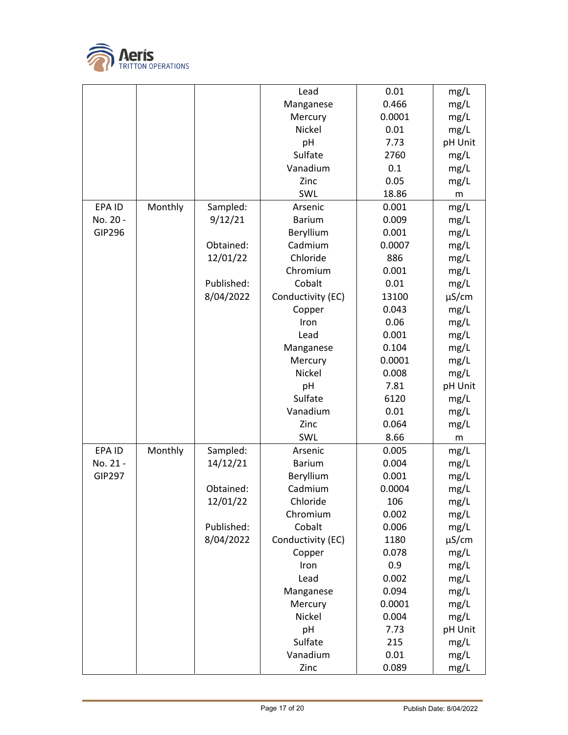

|               |         |            | Lead              | 0.01   | mg/L       |
|---------------|---------|------------|-------------------|--------|------------|
|               |         |            | Manganese         | 0.466  | mg/L       |
|               |         |            | Mercury           | 0.0001 | mg/L       |
|               |         |            | Nickel            | 0.01   | mg/L       |
|               |         |            | pH                | 7.73   | pH Unit    |
|               |         |            | Sulfate           | 2760   | mg/L       |
|               |         |            | Vanadium          | 0.1    | mg/L       |
|               |         |            | Zinc              | 0.05   | mg/L       |
|               |         |            | SWL               | 18.86  | m          |
| EPA ID        | Monthly | Sampled:   | Arsenic           | 0.001  | mg/L       |
| No. 20 -      |         | 9/12/21    | <b>Barium</b>     | 0.009  | mg/L       |
| GIP296        |         |            | Beryllium         | 0.001  | mg/L       |
|               |         | Obtained:  | Cadmium           | 0.0007 | mg/L       |
|               |         | 12/01/22   | Chloride          | 886    | mg/L       |
|               |         |            | Chromium          | 0.001  | mg/L       |
|               |         | Published: | Cobalt            | 0.01   | mg/L       |
|               |         | 8/04/2022  | Conductivity (EC) | 13100  | $\mu$ S/cm |
|               |         |            | Copper            | 0.043  | mg/L       |
|               |         |            | Iron              | 0.06   | mg/L       |
|               |         |            | Lead              | 0.001  |            |
|               |         |            |                   |        | mg/L       |
|               |         |            | Manganese         | 0.104  | mg/L       |
|               |         |            | Mercury           | 0.0001 | mg/L       |
|               |         |            | Nickel            | 0.008  | mg/L       |
|               |         |            | pH                | 7.81   | pH Unit    |
|               |         |            | Sulfate           | 6120   | mg/L       |
|               |         |            | Vanadium          | 0.01   | mg/L       |
|               |         |            | Zinc              | 0.064  | mg/L       |
|               |         |            | SWL               | 8.66   | ${\sf m}$  |
| EPA ID        | Monthly | Sampled:   | Arsenic           | 0.005  | mg/L       |
| No. 21 -      |         | 14/12/21   | <b>Barium</b>     | 0.004  | mg/L       |
| <b>GIP297</b> |         |            | Beryllium         | 0.001  | mg/L       |
|               |         | Obtained:  | Cadmium           | 0.0004 | mg/L       |
|               |         | 12/01/22   | Chloride          | 106    | mg/L       |
|               |         |            | Chromium          | 0.002  | mg/L       |
|               |         | Published: | Cobalt            | 0.006  | mg/L       |
|               |         | 8/04/2022  | Conductivity (EC) | 1180   | $\mu$ S/cm |
|               |         |            | Copper            | 0.078  | mg/L       |
|               |         |            | Iron              | 0.9    | mg/L       |
|               |         |            | Lead              | 0.002  | mg/L       |
|               |         |            | Manganese         | 0.094  | mg/L       |
|               |         |            | Mercury           | 0.0001 | mg/L       |
|               |         |            | Nickel            | 0.004  | mg/L       |
|               |         |            | pH                | 7.73   | pH Unit    |
|               |         |            | Sulfate           | 215    | mg/L       |
|               |         |            | Vanadium          | 0.01   | mg/L       |
|               |         |            | Zinc              | 0.089  | mg/L       |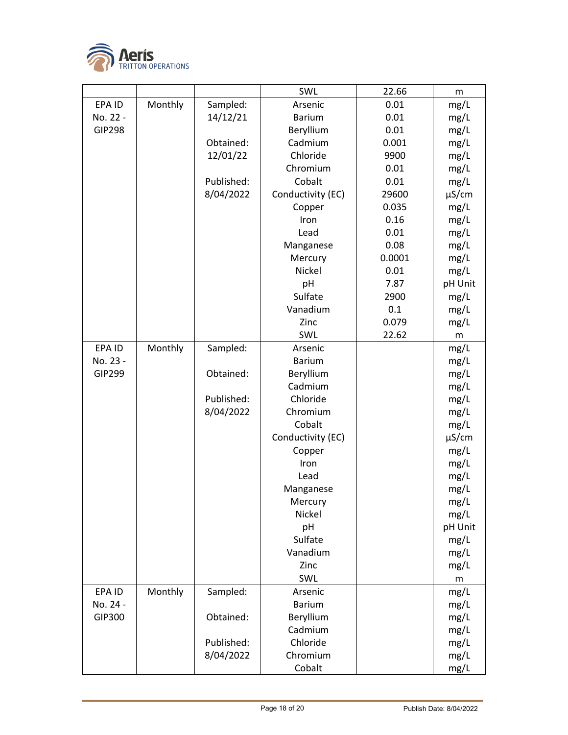

|               |         |            | SWL               | 22.66  | m               |
|---------------|---------|------------|-------------------|--------|-----------------|
| EPA ID        | Monthly | Sampled:   | Arsenic           | 0.01   | mg/L            |
| No. 22 -      |         | 14/12/21   | <b>Barium</b>     | 0.01   | mg/L            |
| <b>GIP298</b> |         |            | Beryllium         | 0.01   | mg/L            |
|               |         | Obtained:  | Cadmium           | 0.001  | mg/L            |
|               |         | 12/01/22   | Chloride          | 9900   | mg/L            |
|               |         |            | Chromium          | 0.01   | mg/L            |
|               |         | Published: | Cobalt            | 0.01   | mg/L            |
|               |         | 8/04/2022  | Conductivity (EC) | 29600  | $\mu$ S/cm      |
|               |         |            | Copper            | 0.035  | mg/L            |
|               |         |            | Iron              | 0.16   | mg/L            |
|               |         |            | Lead              | 0.01   | mg/L            |
|               |         |            | Manganese         | 0.08   | mg/L            |
|               |         |            | Mercury           | 0.0001 | mg/L            |
|               |         |            | Nickel            | 0.01   | mg/L            |
|               |         |            | pH                | 7.87   | pH Unit         |
|               |         |            | Sulfate           | 2900   | mg/L            |
|               |         |            | Vanadium          | 0.1    | mg/L            |
|               |         |            | Zinc              | 0.079  | mg/L            |
|               |         |            | SWL               | 22.62  | m               |
| EPA ID        | Monthly | Sampled:   | Arsenic           |        | mg/L            |
| No. 23 -      |         |            | <b>Barium</b>     |        | mg/L            |
| GIP299        |         | Obtained:  | Beryllium         |        | mg/L            |
|               |         |            | Cadmium           |        | mg/L            |
|               |         | Published: | Chloride          |        | mg/L            |
|               |         | 8/04/2022  | Chromium          |        | mg/L            |
|               |         |            | Cobalt            |        | mg/L            |
|               |         |            | Conductivity (EC) |        | $\mu$ S/cm      |
|               |         |            | Copper            |        | mg/L            |
|               |         |            | Iron              |        | mg/L            |
|               |         |            | Lead              |        | mg/L            |
|               |         |            | Manganese         |        | mg/L            |
|               |         |            | Mercury<br>Nickel |        | mg/L            |
|               |         |            | pH                |        | mg/L<br>pH Unit |
|               |         |            | Sulfate           |        | mg/L            |
|               |         |            | Vanadium          |        | mg/L            |
|               |         |            | Zinc              |        | mg/L            |
|               |         |            | SWL               |        | m               |
| EPA ID        | Monthly | Sampled:   | Arsenic           |        | mg/L            |
| No. 24 -      |         |            | <b>Barium</b>     |        | mg/L            |
| GIP300        |         | Obtained:  | Beryllium         |        | mg/L            |
|               |         |            | Cadmium           |        | mg/L            |
|               |         | Published: | Chloride          |        | mg/L            |
|               |         | 8/04/2022  | Chromium          |        | mg/L            |
|               |         |            | Cobalt            |        | mg/L            |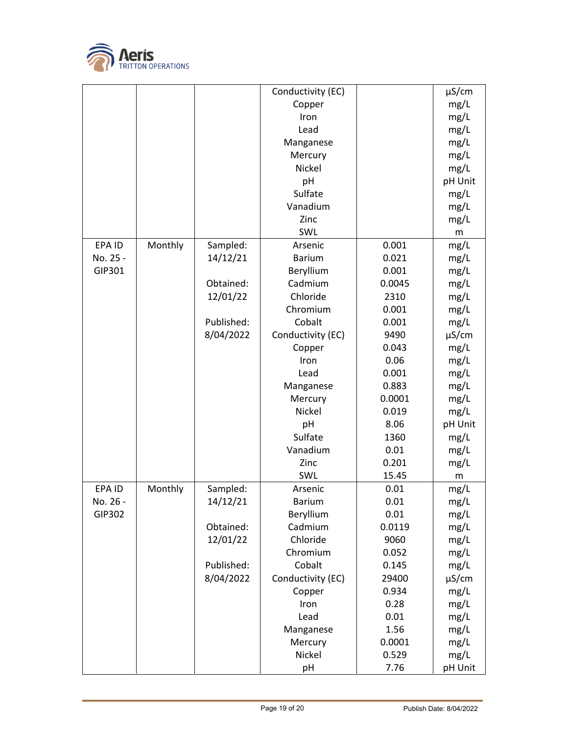

|          |         |            | Conductivity (EC) |        | $\mu$ S/cm |
|----------|---------|------------|-------------------|--------|------------|
|          |         |            | Copper            |        | mg/L       |
|          |         |            | Iron              |        | mg/L       |
|          |         |            | Lead              |        | mg/L       |
|          |         |            | Manganese         |        | mg/L       |
|          |         |            | Mercury           |        | mg/L       |
|          |         |            | Nickel            |        | mg/L       |
|          |         |            | pH                |        | pH Unit    |
|          |         |            | Sulfate           |        | mg/L       |
|          |         |            | Vanadium          |        | mg/L       |
|          |         |            | Zinc              |        | mg/L       |
|          |         |            | SWL               |        | ${\sf m}$  |
| EPA ID   | Monthly | Sampled:   | Arsenic           | 0.001  | mg/L       |
| No. 25 - |         | 14/12/21   | <b>Barium</b>     | 0.021  | mg/L       |
| GIP301   |         |            | Beryllium         | 0.001  | mg/L       |
|          |         | Obtained:  | Cadmium           | 0.0045 | mg/L       |
|          |         | 12/01/22   | Chloride          | 2310   | mg/L       |
|          |         |            | Chromium          | 0.001  | mg/L       |
|          |         | Published: | Cobalt            | 0.001  | mg/L       |
|          |         | 8/04/2022  | Conductivity (EC) | 9490   | $\mu$ S/cm |
|          |         |            | Copper            | 0.043  | mg/L       |
|          |         |            | Iron              | 0.06   | mg/L       |
|          |         |            | Lead              | 0.001  | mg/L       |
|          |         |            | Manganese         | 0.883  | mg/L       |
|          |         |            | Mercury           | 0.0001 | mg/L       |
|          |         |            | Nickel            | 0.019  | mg/L       |
|          |         |            | pH                | 8.06   | pH Unit    |
|          |         |            | Sulfate           | 1360   | mg/L       |
|          |         |            | Vanadium          | 0.01   | mg/L       |
|          |         |            | Zinc              | 0.201  | mg/L       |
|          |         |            | SWL               | 15.45  | m          |
| EPA ID   | Monthly | Sampled:   | Arsenic           | 0.01   | mg/L       |
| No. 26 - |         | 14/12/21   | <b>Barium</b>     | 0.01   | mg/L       |
| GIP302   |         |            | Beryllium         | 0.01   | mg/L       |
|          |         | Obtained:  | Cadmium           | 0.0119 | mg/L       |
|          |         | 12/01/22   | Chloride          | 9060   | mg/L       |
|          |         |            | Chromium          | 0.052  | mg/L       |
|          |         | Published: | Cobalt            | 0.145  | mg/L       |
|          |         | 8/04/2022  | Conductivity (EC) | 29400  | $\mu$ S/cm |
|          |         |            | Copper            | 0.934  | mg/L       |
|          |         |            | Iron              | 0.28   | mg/L       |
|          |         |            | Lead              | 0.01   | mg/L       |
|          |         |            | Manganese         | 1.56   | mg/L       |
|          |         |            | Mercury           | 0.0001 | mg/L       |
|          |         |            | Nickel            | 0.529  | mg/L       |
|          |         |            | pH                | 7.76   | pH Unit    |